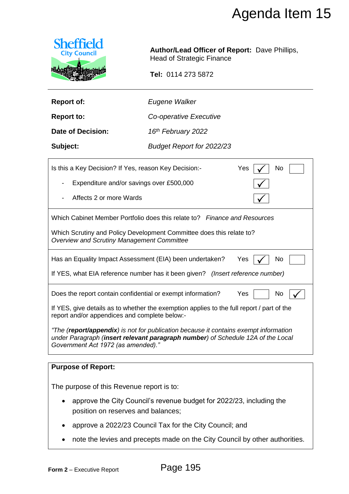

| <b>Report of:</b> | Eugene Walker |
|-------------------|---------------|
|                   |               |

|                                                                                                            |                                                                                                                                                                         | Agenda Item 15 |  |  |
|------------------------------------------------------------------------------------------------------------|-------------------------------------------------------------------------------------------------------------------------------------------------------------------------|----------------|--|--|
| <b>Sheffield</b><br><b>City Council</b>                                                                    | <b>Author/Lead Officer of Report: Dave Phillips,</b><br><b>Head of Strategic Finance</b>                                                                                |                |  |  |
|                                                                                                            | Tel: 0114 273 5872                                                                                                                                                      |                |  |  |
| <b>Report of:</b>                                                                                          | Eugene Walker                                                                                                                                                           |                |  |  |
| <b>Report to:</b>                                                                                          | Co-operative Executive                                                                                                                                                  |                |  |  |
| Date of Decision:                                                                                          | 16 <sup>th</sup> February 2022                                                                                                                                          |                |  |  |
| Subject:                                                                                                   | <b>Budget Report for 2022/23</b>                                                                                                                                        |                |  |  |
| Is this a Key Decision? If Yes, reason Key Decision:-<br>Yes<br>No                                         |                                                                                                                                                                         |                |  |  |
| Expenditure and/or savings over £500,000                                                                   |                                                                                                                                                                         |                |  |  |
| Affects 2 or more Wards                                                                                    |                                                                                                                                                                         |                |  |  |
|                                                                                                            | Which Cabinet Member Portfolio does this relate to? Finance and Resources                                                                                               |                |  |  |
| <b>Overview and Scrutiny Management Committee</b>                                                          | Which Scrutiny and Policy Development Committee does this relate to?                                                                                                    |                |  |  |
|                                                                                                            | Has an Equality Impact Assessment (EIA) been undertaken?<br>Yes                                                                                                         | No             |  |  |
|                                                                                                            | If YES, what EIA reference number has it been given? (Insert reference number)                                                                                          |                |  |  |
|                                                                                                            |                                                                                                                                                                         |                |  |  |
| Does the report contain confidential or exempt information?<br>Yes<br>No                                   |                                                                                                                                                                         |                |  |  |
| report and/or appendices and complete below:-                                                              | If YES, give details as to whether the exemption applies to the full report / part of the                                                                               |                |  |  |
| Government Act 1972 (as amended)."                                                                         | "The (report/appendix) is not for publication because it contains exempt information<br>under Paragraph (insert relevant paragraph number) of Schedule 12A of the Local |                |  |  |
| <b>Purpose of Report:</b>                                                                                  |                                                                                                                                                                         |                |  |  |
| The purpose of this Revenue report is to:                                                                  |                                                                                                                                                                         |                |  |  |
| approve the City Council's revenue budget for 2022/23, including the<br>position on reserves and balances; |                                                                                                                                                                         |                |  |  |
|                                                                                                            | approve a 2022/23 Council Tax for the City Council; and                                                                                                                 |                |  |  |
|                                                                                                            | note the levies and precepts made on the City Council by other authorities.                                                                                             |                |  |  |
| Form 2 - Executive Report                                                                                  | Page 195                                                                                                                                                                |                |  |  |

# **Purpose of Report:**

- approve the City Council's revenue budget for 2022/23, including the position on reserves and balances;
- approve a 2022/23 Council Tax for the City Council; and
- note the levies and precepts made on the City Council by other authorities.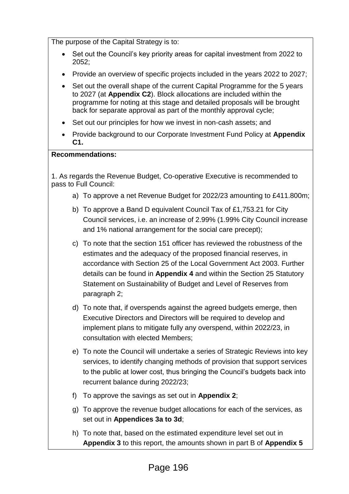The purpose of the Capital Strategy is to:

- Set out the Council's key priority areas for capital investment from 2022 to 2052;
- Provide an overview of specific projects included in the years 2022 to 2027;
- Set out the overall shape of the current Capital Programme for the 5 years to 2027 (at **Appendix C2**). Block allocations are included within the programme for noting at this stage and detailed proposals will be brought back for separate approval as part of the monthly approval cycle;
- Set out our principles for how we invest in non-cash assets; and
- Provide background to our Corporate Investment Fund Policy at **Appendix C1.**

#### **Recommendations:**

1. As regards the Revenue Budget, Co-operative Executive is recommended to pass to Full Council:

- a) To approve a net Revenue Budget for 2022/23 amounting to £411.800m;
- b) To approve a Band D equivalent Council Tax of £1,753.21 for City Council services, i.e. an increase of 2.99% (1.99% City Council increase and 1% national arrangement for the social care precept);
- c) To note that the section 151 officer has reviewed the robustness of the estimates and the adequacy of the proposed financial reserves, in accordance with Section 25 of the Local Government Act 2003. Further details can be found in **Appendix 4** and within the Section 25 Statutory Statement on Sustainability of Budget and Level of Reserves from paragraph 2;
- d) To note that, if overspends against the agreed budgets emerge, then Executive Directors and Directors will be required to develop and implement plans to mitigate fully any overspend, within 2022/23, in consultation with elected Members;
- e) To note the Council will undertake a series of Strategic Reviews into key services, to identify changing methods of provision that support services to the public at lower cost, thus bringing the Council's budgets back into recurrent balance during 2022/23;
- f) To approve the savings as set out in **Appendix 2**;
- g) To approve the revenue budget allocations for each of the services, as set out in **Appendices 3a to 3d**;
- h) To note that, based on the estimated expenditure level set out in **Appendix 3** to this report, the amounts shown in part B of **Appendix 5**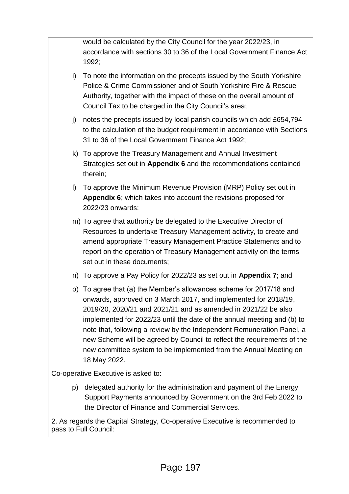would be calculated by the City Council for the year 2022/23, in accordance with sections 30 to 36 of the Local Government Finance Act 1992;

- i) To note the information on the precepts issued by the South Yorkshire Police & Crime Commissioner and of South Yorkshire Fire & Rescue Authority, together with the impact of these on the overall amount of Council Tax to be charged in the City Council's area;
- j) notes the precepts issued by local parish councils which add  $£654,794$ to the calculation of the budget requirement in accordance with Sections 31 to 36 of the Local Government Finance Act 1992;
- k) To approve the Treasury Management and Annual Investment Strategies set out in **Appendix 6** and the recommendations contained therein;
- l) To approve the Minimum Revenue Provision (MRP) Policy set out in **Appendix 6**; which takes into account the revisions proposed for 2022/23 onwards;
- m) To agree that authority be delegated to the Executive Director of Resources to undertake Treasury Management activity, to create and amend appropriate Treasury Management Practice Statements and to report on the operation of Treasury Management activity on the terms set out in these documents;
- n) To approve a Pay Policy for 2022/23 as set out in **Appendix 7**; and
- o) To agree that (a) the Member's allowances scheme for 2017/18 and onwards, approved on 3 March 2017, and implemented for 2018/19, 2019/20, 2020/21 and 2021/21 and as amended in 2021/22 be also implemented for 2022/23 until the date of the annual meeting and (b) to note that, following a review by the Independent Remuneration Panel, a new Scheme will be agreed by Council to reflect the requirements of the new committee system to be implemented from the Annual Meeting on 18 May 2022.

Co-operative Executive is asked to:

p) delegated authority for the administration and payment of the Energy Support Payments announced by Government on the 3rd Feb 2022 to the Director of Finance and Commercial Services.

2. As regards the Capital Strategy, Co-operative Executive is recommended to pass to Full Council: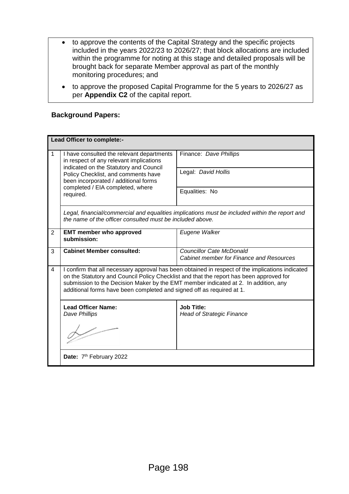- to approve the contents of the Capital Strategy and the specific projects included in the years 2022/23 to 2026/27; that block allocations are included within the programme for noting at this stage and detailed proposals will be brought back for separate Member approval as part of the monthly monitoring procedures; and
- to approve the proposed Capital Programme for the 5 years to 2026/27 as per **Appendix C2** of the capital report.

#### **Background Papers:**

| Lead Officer to complete:- |                                                                                                                                                                                                                                                                                                                                                             |                                                                                    |  |  |
|----------------------------|-------------------------------------------------------------------------------------------------------------------------------------------------------------------------------------------------------------------------------------------------------------------------------------------------------------------------------------------------------------|------------------------------------------------------------------------------------|--|--|
| $\mathbf 1$                | I have consulted the relevant departments<br>in respect of any relevant implications<br>indicated on the Statutory and Council<br>Policy Checklist, and comments have<br>been incorporated / additional forms<br>completed / EIA completed, where<br>required.                                                                                              | Finance: Dave Phillips                                                             |  |  |
|                            |                                                                                                                                                                                                                                                                                                                                                             | Legal: David Hollis                                                                |  |  |
|                            |                                                                                                                                                                                                                                                                                                                                                             | Equalities: No                                                                     |  |  |
|                            | Legal, financial/commercial and equalities implications must be included within the report and<br>the name of the officer consulted must be included above.                                                                                                                                                                                                 |                                                                                    |  |  |
| 2                          | <b>EMT member who approved</b><br>submission:                                                                                                                                                                                                                                                                                                               | Eugene Walker                                                                      |  |  |
| 3                          | <b>Cabinet Member consulted:</b>                                                                                                                                                                                                                                                                                                                            | <b>Councillor Cate McDonald</b><br><b>Cabinet member for Finance and Resources</b> |  |  |
| $\overline{4}$             | I confirm that all necessary approval has been obtained in respect of the implications indicated<br>on the Statutory and Council Policy Checklist and that the report has been approved for<br>submission to the Decision Maker by the EMT member indicated at 2. In addition, any<br>additional forms have been completed and signed off as required at 1. |                                                                                    |  |  |
|                            | <b>Lead Officer Name:</b><br>Dave Phillips                                                                                                                                                                                                                                                                                                                  | <b>Job Title:</b><br><b>Head of Strategic Finance</b>                              |  |  |
|                            |                                                                                                                                                                                                                                                                                                                                                             |                                                                                    |  |  |
|                            | Date: 7 <sup>th</sup> February 2022                                                                                                                                                                                                                                                                                                                         |                                                                                    |  |  |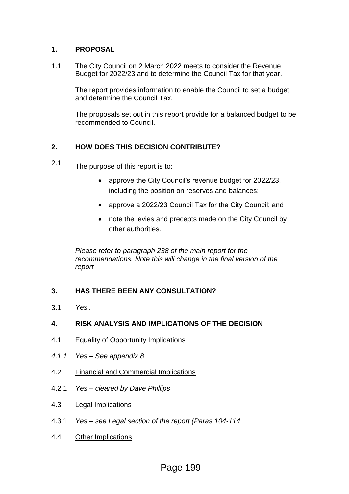#### **1. PROPOSAL**

1.1 The City Council on 2 March 2022 meets to consider the Revenue Budget for 2022/23 and to determine the Council Tax for that year.

> The report provides information to enable the Council to set a budget and determine the Council Tax.

The proposals set out in this report provide for a balanced budget to be recommended to Council.

## **2. HOW DOES THIS DECISION CONTRIBUTE?**

- 2.1 The purpose of this report is to:
	- approve the City Council's revenue budget for 2022/23, including the position on reserves and balances;
	- approve a 2022/23 Council Tax for the City Council; and
	- note the levies and precepts made on the City Council by other authorities.

*Please refer to paragraph 238 of the main report for the recommendations. Note this will change in the final version of the report*

## **3. HAS THERE BEEN ANY CONSULTATION?**

3.1 *Yes .*

## **4. RISK ANALYSIS AND IMPLICATIONS OF THE DECISION**

- 4.1 Equality of Opportunity Implications
- *4.1.1 Yes – See appendix 8*
- 4.2 Financial and Commercial Implications
- 4.2.1 *Yes – cleared by Dave Phillips*
- 4.3 Legal Implications
- 4.3.1 *Yes – see Legal section of the report (Paras 104-114*
- 4.4 Other Implications